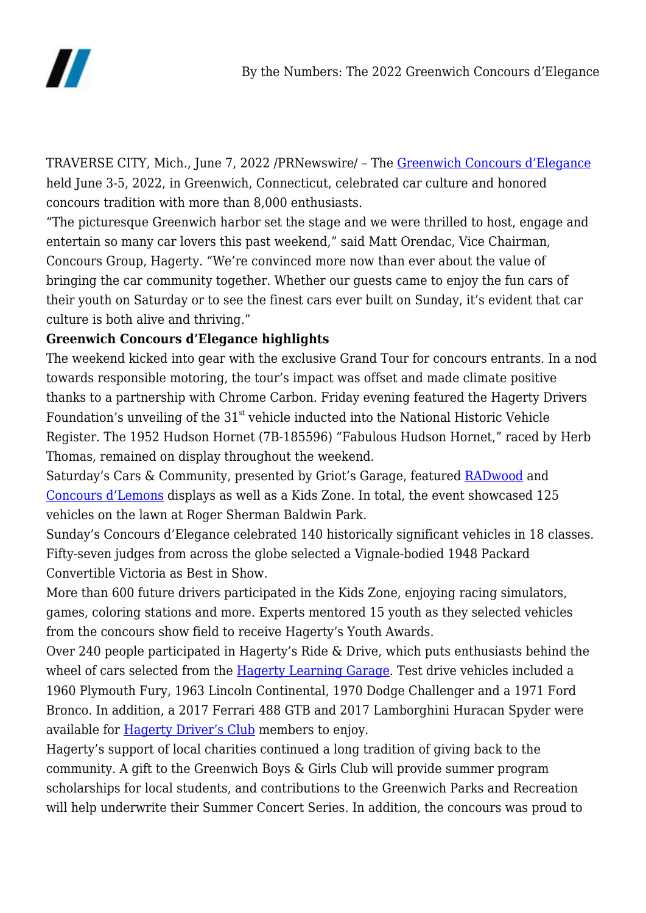

TRAVERSE CITY, Mich., June 7, 2022 /PRNewswire/ – The [Greenwich Concours d'Elegance](https://www.greenwichconcours.com/) held June 3-5, 2022, in Greenwich, Connecticut, celebrated car culture and honored concours tradition with more than 8,000 enthusiasts.

"The picturesque Greenwich harbor set the stage and we were thrilled to host, engage and entertain so many car lovers this past weekend," said Matt Orendac, Vice Chairman, Concours Group, Hagerty. "We're convinced more now than ever about the value of bringing the car community together. Whether our guests came to enjoy the fun cars of their youth on Saturday or to see the finest cars ever built on Sunday, it's evident that car culture is both alive and thriving."

# **Greenwich Concours d'Elegance highlights**

The weekend kicked into gear with the exclusive Grand Tour for concours entrants. In a nod towards responsible motoring, the tour's impact was offset and made climate positive thanks to a partnership with Chrome Carbon. Friday evening featured the Hagerty Drivers Foundation's unveiling of the  $31<sup>st</sup>$  vehicle inducted into the National Historic Vehicle Register. The 1952 Hudson Hornet (7B-185596) "Fabulous Hudson Hornet," raced by Herb Thomas, remained on display throughout the weekend.

Saturday's Cars & Community, presented by Griot's Garage, featured [RADwood](https://www.radwood.com/) and [Concours d'Lemons](https://24hoursoflemons.com/concours-d-lemons/) displays as well as a Kids Zone. In total, the event showcased 125 vehicles on the lawn at Roger Sherman Baldwin Park.

Sunday's Concours d'Elegance celebrated 140 historically significant vehicles in 18 classes. Fifty-seven judges from across the globe selected a Vignale-bodied 1948 Packard Convertible Victoria as Best in Show.

More than 600 future drivers participated in the Kids Zone, enjoying racing simulators, games, coloring stations and more. Experts mentored 15 youth as they selected vehicles from the concours show field to receive Hagerty's Youth Awards.

Over 240 people participated in Hagerty's Ride & Drive, which puts enthusiasts behind the wheel of cars selected from the [Hagerty Learning Garage](https://www.learninggarage.com/). Test drive vehicles included a 1960 Plymouth Fury, 1963 Lincoln Continental, 1970 Dodge Challenger and a 1971 Ford Bronco. In addition, a 2017 Ferrari 488 GTB and 2017 Lamborghini Huracan Spyder were available for [Hagerty Driver's Club](https://www.hagerty.com/drivers-club/) members to enjoy.

Hagerty's support of local charities continued a long tradition of giving back to the community. A gift to the Greenwich Boys & Girls Club will provide summer program scholarships for local students, and contributions to the Greenwich Parks and Recreation will help underwrite their Summer Concert Series. In addition, the concours was proud to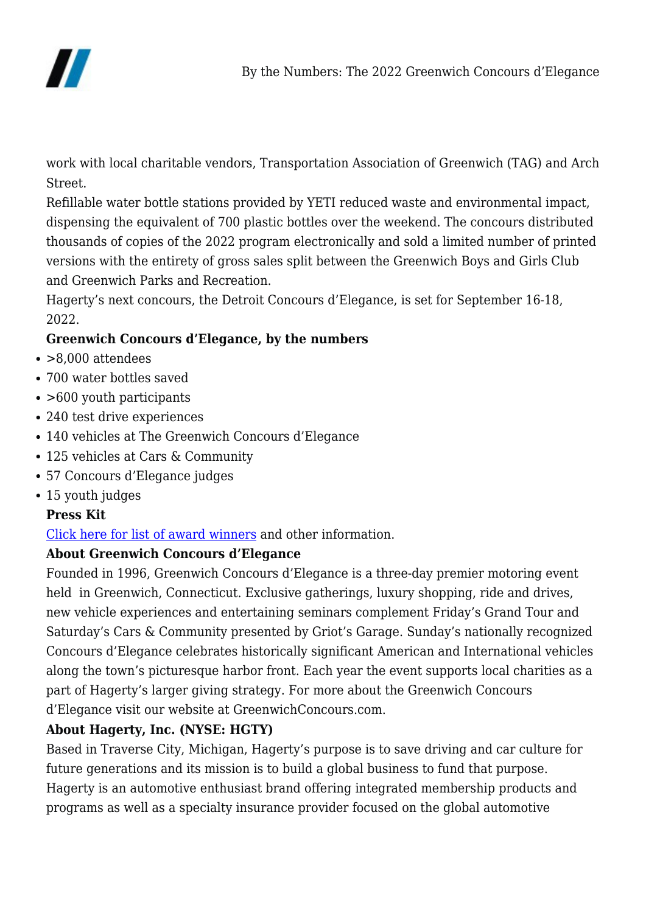

work with local charitable vendors, Transportation Association of Greenwich (TAG) and Arch Street.

Refillable water bottle stations provided by YETI reduced waste and environmental impact, dispensing the equivalent of 700 plastic bottles over the weekend. The concours distributed thousands of copies of the 2022 program electronically and sold a limited number of printed versions with the entirety of gross sales split between the Greenwich Boys and Girls Club and Greenwich Parks and Recreation.

Hagerty's next concours, the Detroit Concours d'Elegance, is set for September 16-18, 2022.

# **Greenwich Concours d'Elegance, by the numbers**

- $\cdot$  >8.000 attendees
- 700 water bottles saved
- > 600 youth participants
- 240 test drive experiences
- 140 vehicles at The Greenwich Concours d'Elegance
- 125 vehicles at Cars & Community
- 57 Concours d'Elegance judges
- 15 youth judges

## **Press Kit**

## [Click here for list of award winners](http://www.greenwichconcoursmedia.com/) and other information.

### **About Greenwich Concours d'Elegance**

Founded in 1996, Greenwich Concours d'Elegance is a three-day premier motoring event held in Greenwich, Connecticut. Exclusive gatherings, luxury shopping, ride and drives, new vehicle experiences and entertaining seminars complement Friday's Grand Tour and Saturday's Cars & Community presented by Griot's Garage. Sunday's nationally recognized Concours d'Elegance celebrates historically significant American and International vehicles along the town's picturesque harbor front. Each year the event supports local charities as a part of Hagerty's larger giving strategy. For more about the Greenwich Concours d'Elegance visit our website at GreenwichConcours.com.

## **About Hagerty, Inc. (NYSE: HGTY)**

Based in Traverse City, Michigan, Hagerty's purpose is to save driving and car culture for future generations and its mission is to build a global business to fund that purpose. Hagerty is an automotive enthusiast brand offering integrated membership products and programs as well as a specialty insurance provider focused on the global automotive